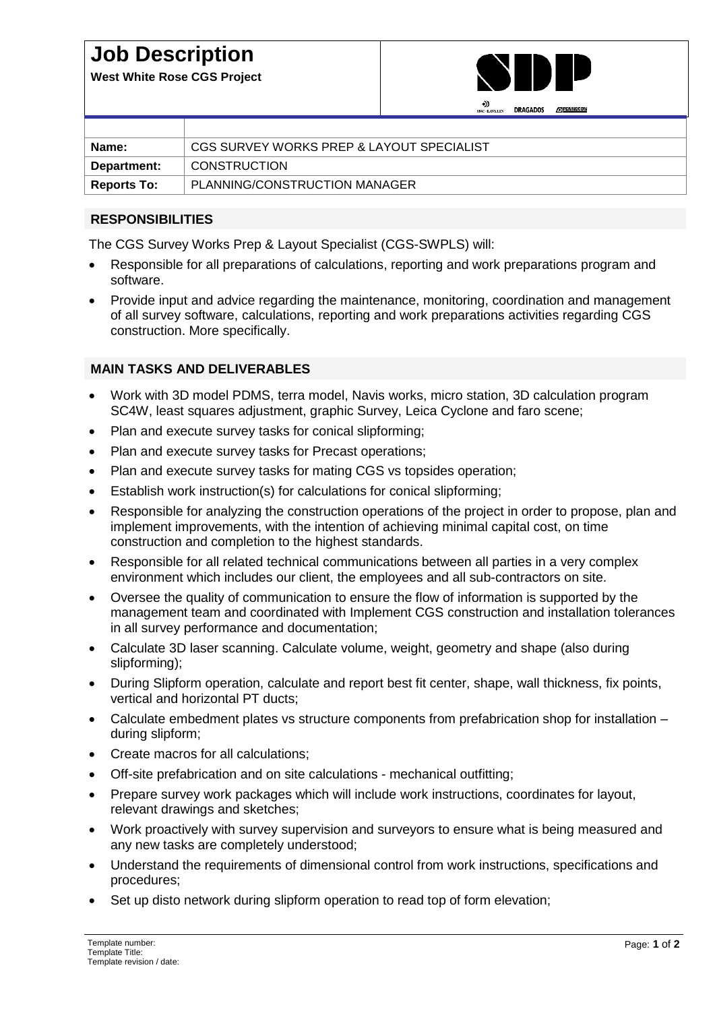## **Job Description**

**West White Rose CGS Project**



|                    | DRAGADOS<br><b>AN PENNECON</b><br>SNC-LAVALLY |
|--------------------|-----------------------------------------------|
|                    |                                               |
| Name:              | CGS SURVEY WORKS PREP & LAYOUT SPECIALIST     |
| Department:        | <b>CONSTRUCTION</b>                           |
| <b>Reports To:</b> | PLANNING/CONSTRUCTION MANAGER                 |

## **RESPONSIBILITIES**

The CGS Survey Works Prep & Layout Specialist (CGS-SWPLS) will:

- Responsible for all preparations of calculations, reporting and work preparations program and software.
- Provide input and advice regarding the maintenance, monitoring, coordination and management of all survey software, calculations, reporting and work preparations activities regarding CGS construction. More specifically.

## **MAIN TASKS AND DELIVERABLES**

- Work with 3D model PDMS, terra model, Navis works, micro station, 3D calculation program SC4W, least squares adjustment, graphic Survey, Leica Cyclone and faro scene;
- Plan and execute survey tasks for conical slipforming;
- Plan and execute survey tasks for Precast operations;
- Plan and execute survey tasks for mating CGS vs topsides operation;
- Establish work instruction(s) for calculations for conical slipforming;
- Responsible for analyzing the construction operations of the project in order to propose, plan and implement improvements, with the intention of achieving minimal capital cost, on time construction and completion to the highest standards.
- Responsible for all related technical communications between all parties in a very complex environment which includes our client, the employees and all sub-contractors on site.
- Oversee the quality of communication to ensure the flow of information is supported by the management team and coordinated with Implement CGS construction and installation tolerances in all survey performance and documentation;
- Calculate 3D laser scanning. Calculate volume, weight, geometry and shape (also during slipforming);
- During Slipform operation, calculate and report best fit center, shape, wall thickness, fix points, vertical and horizontal PT ducts;
- Calculate embedment plates vs structure components from prefabrication shop for installation during slipform;
- Create macros for all calculations;
- Off-site prefabrication and on site calculations mechanical outfitting;
- Prepare survey work packages which will include work instructions, coordinates for layout, relevant drawings and sketches;
- Work proactively with survey supervision and surveyors to ensure what is being measured and any new tasks are completely understood;
- Understand the requirements of dimensional control from work instructions, specifications and procedures;
- Set up disto network during slipform operation to read top of form elevation;